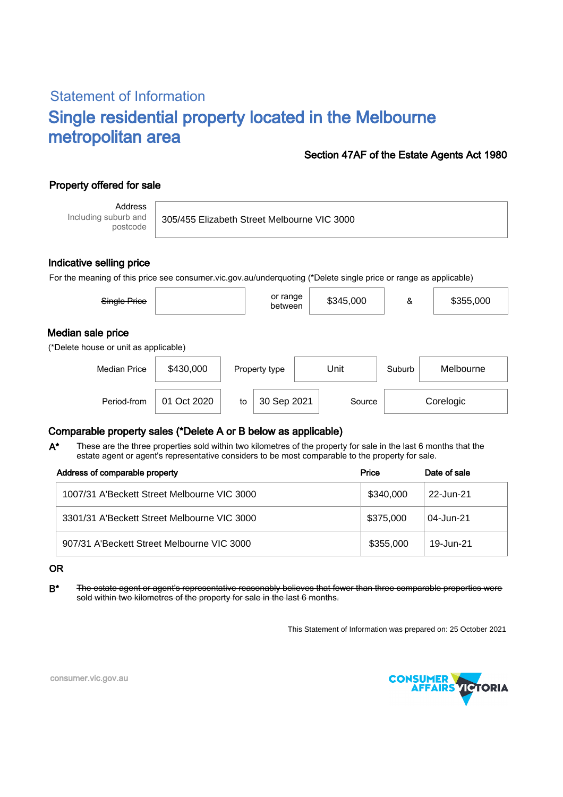# Statement of Information Single residential property located in the Melbourne metropolitan area

#### Section 47AF of the Estate Agents Act 1980

## Property offered for sale

Address Including suburb and postcode

305/455 Elizabeth Street Melbourne VIC 3000

#### Indicative selling price

For the meaning of this price see consumer.vic.gov.au/underquoting (\*Delete single price or range as applicable)

| Single Price                          |           | or range<br>between | \$345,000 |        | \$355,000 |  |
|---------------------------------------|-----------|---------------------|-----------|--------|-----------|--|
| Median sale price                     |           |                     |           |        |           |  |
| (*Delete house or unit as applicable) |           |                     |           |        |           |  |
| <b>Median Price</b>                   | \$430,000 | Property type       | Unit      | Suburb | Melbourne |  |

Period-from | 01 Oct 2020 | to | 30 Sep 2021 | Source | Corelogic

### Comparable property sales (\*Delete A or B below as applicable)

These are the three properties sold within two kilometres of the property for sale in the last 6 months that the estate agent or agent's representative considers to be most comparable to the property for sale. A\*

| Address of comparable property              | Price     | Date of sale |
|---------------------------------------------|-----------|--------------|
| 1007/31 A'Beckett Street Melbourne VIC 3000 | \$340,000 | 22-Jun-21    |
| 3301/31 A'Beckett Street Melbourne VIC 3000 | \$375,000 | 04-Jun-21    |
| 907/31 A'Beckett Street Melbourne VIC 3000  | \$355,000 | 19-Jun-21    |

#### OR

B<sup>\*</sup> The estate agent or agent's representative reasonably believes that fewer than three comparable properties were sold within two kilometres of the property for sale in the last 6 months.

This Statement of Information was prepared on: 25 October 2021



consumer.vic.gov.au